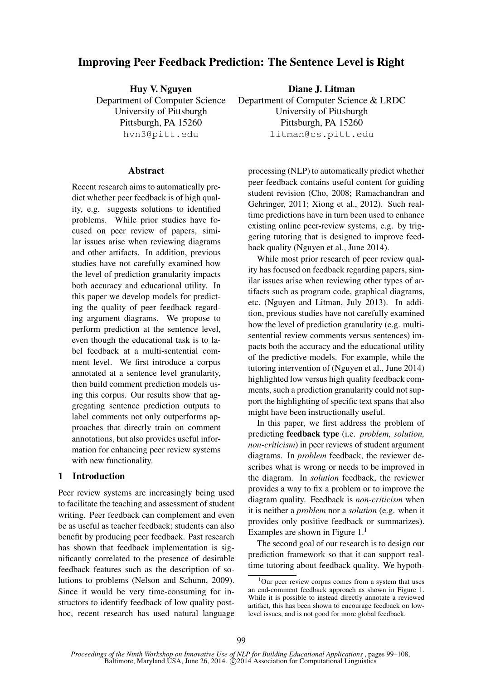# Improving Peer Feedback Prediction: The Sentence Level is Right

Huy V. Nguyen Department of Computer Science University of Pittsburgh Pittsburgh, PA 15260 hvn3@pitt.edu

#### **Abstract**

Recent research aims to automatically predict whether peer feedback is of high quality, e.g. suggests solutions to identified problems. While prior studies have focused on peer review of papers, similar issues arise when reviewing diagrams and other artifacts. In addition, previous studies have not carefully examined how the level of prediction granularity impacts both accuracy and educational utility. In this paper we develop models for predicting the quality of peer feedback regarding argument diagrams. We propose to perform prediction at the sentence level, even though the educational task is to label feedback at a multi-sentential comment level. We first introduce a corpus annotated at a sentence level granularity, then build comment prediction models using this corpus. Our results show that aggregating sentence prediction outputs to label comments not only outperforms approaches that directly train on comment annotations, but also provides useful information for enhancing peer review systems with new functionality.

### 1 Introduction

Peer review systems are increasingly being used to facilitate the teaching and assessment of student writing. Peer feedback can complement and even be as useful as teacher feedback; students can also benefit by producing peer feedback. Past research has shown that feedback implementation is significantly correlated to the presence of desirable feedback features such as the description of solutions to problems (Nelson and Schunn, 2009). Since it would be very time-consuming for instructors to identify feedback of low quality posthoc, recent research has used natural language

Diane J. Litman Department of Computer Science & LRDC University of Pittsburgh Pittsburgh, PA 15260 litman@cs.pitt.edu

processing (NLP) to automatically predict whether peer feedback contains useful content for guiding student revision (Cho, 2008; Ramachandran and Gehringer, 2011; Xiong et al., 2012). Such realtime predictions have in turn been used to enhance existing online peer-review systems, e.g. by triggering tutoring that is designed to improve feedback quality (Nguyen et al., June 2014).

While most prior research of peer review quality has focused on feedback regarding papers, similar issues arise when reviewing other types of artifacts such as program code, graphical diagrams, etc. (Nguyen and Litman, July 2013). In addition, previous studies have not carefully examined how the level of prediction granularity (e.g. multisentential review comments versus sentences) impacts both the accuracy and the educational utility of the predictive models. For example, while the tutoring intervention of (Nguyen et al., June 2014) highlighted low versus high quality feedback comments, such a prediction granularity could not support the highlighting of specific text spans that also might have been instructionally useful.

In this paper, we first address the problem of predicting feedback type (i.e. *problem, solution, non-criticism*) in peer reviews of student argument diagrams. In *problem* feedback, the reviewer describes what is wrong or needs to be improved in the diagram. In *solution* feedback, the reviewer provides a way to fix a problem or to improve the diagram quality. Feedback is *non-criticism* when it is neither a *problem* nor a *solution* (e.g. when it provides only positive feedback or summarizes). Examples are shown in Figure  $1<sup>1</sup>$ 

The second goal of our research is to design our prediction framework so that it can support realtime tutoring about feedback quality. We hypoth-

<sup>&</sup>lt;sup>1</sup>Our peer review corpus comes from a system that uses an end-comment feedback approach as shown in Figure 1. While it is possible to instead directly annotate a reviewed artifact, this has been shown to encourage feedback on lowlevel issues, and is not good for more global feedback.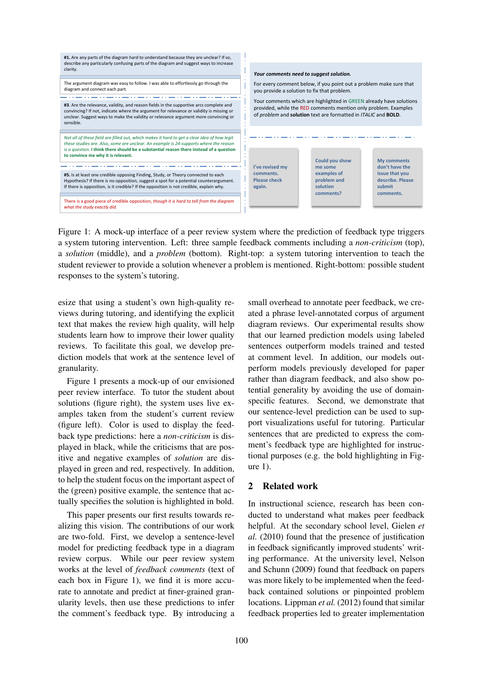

Figure 1: A mock-up interface of a peer review system where the prediction of feedback type triggers a system tutoring intervention. Left: three sample feedback comments including a *non-criticism* (top), a *solution* (middle), and a *problem* (bottom). Right-top: a system tutoring intervention to teach the student reviewer to provide a solution whenever a problem is mentioned. Right-bottom: possible student responses to the system's tutoring.

esize that using a student's own high-quality reviews during tutoring, and identifying the explicit text that makes the review high quality, will help students learn how to improve their lower quality reviews. To facilitate this goal, we develop prediction models that work at the sentence level of granularity.

Figure 1 presents a mock-up of our envisioned peer review interface. To tutor the student about solutions (figure right), the system uses live examples taken from the student's current review (figure left). Color is used to display the feedback type predictions: here a *non-criticism* is displayed in black, while the criticisms that are positive and negative examples of *solution* are displayed in green and red, respectively. In addition, to help the student focus on the important aspect of the (green) positive example, the sentence that actually specifies the solution is highlighted in bold.

This paper presents our first results towards realizing this vision. The contributions of our work are two-fold. First, we develop a sentence-level model for predicting feedback type in a diagram review corpus. While our peer review system works at the level of *feedback comments* (text of each box in Figure 1), we find it is more accurate to annotate and predict at finer-grained granularity levels, then use these predictions to infer the comment's feedback type. By introducing a

small overhead to annotate peer feedback, we created a phrase level-annotated corpus of argument diagram reviews. Our experimental results show that our learned prediction models using labeled sentences outperform models trained and tested at comment level. In addition, our models outperform models previously developed for paper rather than diagram feedback, and also show potential generality by avoiding the use of domainspecific features. Second, we demonstrate that our sentence-level prediction can be used to support visualizations useful for tutoring. Particular sentences that are predicted to express the comment's feedback type are highlighted for instructional purposes (e.g. the bold highlighting in Figure 1).

# 2 Related work

In instructional science, research has been conducted to understand what makes peer feedback helpful. At the secondary school level, Gielen *et al.* (2010) found that the presence of justification in feedback significantly improved students' writing performance. At the university level, Nelson and Schunn (2009) found that feedback on papers was more likely to be implemented when the feedback contained solutions or pinpointed problem locations. Lippman *et al.* (2012) found that similar feedback properties led to greater implementation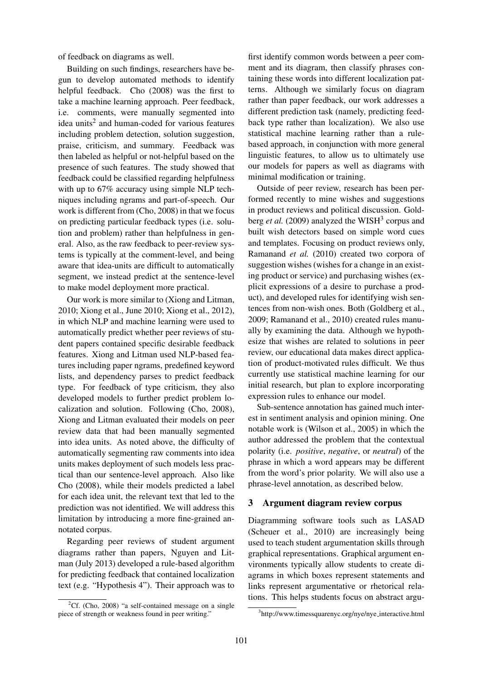of feedback on diagrams as well.

Building on such findings, researchers have begun to develop automated methods to identify helpful feedback. Cho (2008) was the first to take a machine learning approach. Peer feedback, i.e. comments, were manually segmented into idea units<sup>2</sup> and human-coded for various features including problem detection, solution suggestion, praise, criticism, and summary. Feedback was then labeled as helpful or not-helpful based on the presence of such features. The study showed that feedback could be classified regarding helpfulness with up to  $67\%$  accuracy using simple NLP techniques including ngrams and part-of-speech. Our work is different from (Cho, 2008) in that we focus on predicting particular feedback types (i.e. solution and problem) rather than helpfulness in general. Also, as the raw feedback to peer-review systems is typically at the comment-level, and being aware that idea-units are difficult to automatically segment, we instead predict at the sentence-level to make model deployment more practical.

Our work is more similar to (Xiong and Litman, 2010; Xiong et al., June 2010; Xiong et al., 2012), in which NLP and machine learning were used to automatically predict whether peer reviews of student papers contained specific desirable feedback features. Xiong and Litman used NLP-based features including paper ngrams, predefined keyword lists, and dependency parses to predict feedback type. For feedback of type criticism, they also developed models to further predict problem localization and solution. Following (Cho, 2008), Xiong and Litman evaluated their models on peer review data that had been manually segmented into idea units. As noted above, the difficulty of automatically segmenting raw comments into idea units makes deployment of such models less practical than our sentence-level approach. Also like Cho (2008), while their models predicted a label for each idea unit, the relevant text that led to the prediction was not identified. We will address this limitation by introducing a more fine-grained annotated corpus.

Regarding peer reviews of student argument diagrams rather than papers, Nguyen and Litman (July 2013) developed a rule-based algorithm for predicting feedback that contained localization text (e.g. "Hypothesis 4"). Their approach was to

first identify common words between a peer comment and its diagram, then classify phrases containing these words into different localization patterns. Although we similarly focus on diagram rather than paper feedback, our work addresses a different prediction task (namely, predicting feedback type rather than localization). We also use statistical machine learning rather than a rulebased approach, in conjunction with more general linguistic features, to allow us to ultimately use our models for papers as well as diagrams with minimal modification or training.

Outside of peer review, research has been performed recently to mine wishes and suggestions in product reviews and political discussion. Goldberg *et al.* (2009) analyzed the WISH<sup>3</sup> corpus and built wish detectors based on simple word cues and templates. Focusing on product reviews only, Ramanand *et al.* (2010) created two corpora of suggestion wishes (wishes for a change in an existing product or service) and purchasing wishes (explicit expressions of a desire to purchase a product), and developed rules for identifying wish sentences from non-wish ones. Both (Goldberg et al., 2009; Ramanand et al., 2010) created rules manually by examining the data. Although we hypothesize that wishes are related to solutions in peer review, our educational data makes direct application of product-motivated rules difficult. We thus currently use statistical machine learning for our initial research, but plan to explore incorporating expression rules to enhance our model.

Sub-sentence annotation has gained much interest in sentiment analysis and opinion mining. One notable work is (Wilson et al., 2005) in which the author addressed the problem that the contextual polarity (i.e. *positive*, *negative*, or *neutral*) of the phrase in which a word appears may be different from the word's prior polarity. We will also use a phrase-level annotation, as described below.

#### 3 Argument diagram review corpus

Diagramming software tools such as LASAD (Scheuer et al., 2010) are increasingly being used to teach student argumentation skills through graphical representations. Graphical argument environments typically allow students to create diagrams in which boxes represent statements and links represent argumentative or rhetorical relations. This helps students focus on abstract argu-

<sup>&</sup>lt;sup>2</sup>Cf. (Cho, 2008) "a self-contained message on a single piece of strength or weakness found in peer writing."

<sup>3</sup> http://www.timessquarenyc.org/nye/nye interactive.html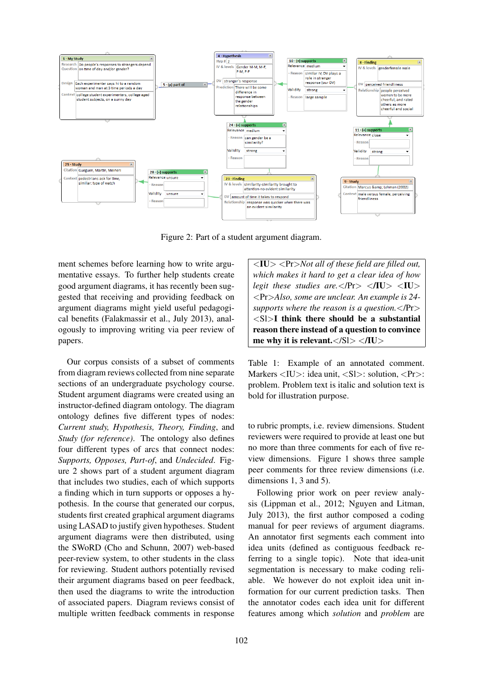

Figure 2: Part of a student argument diagram.

ment schemes before learning how to write argumentative essays. To further help students create good argument diagrams, it has recently been suggested that receiving and providing feedback on argument diagrams might yield useful pedagogical benefits (Falakmassir et al., July 2013), analogously to improving writing via peer review of papers.

Our corpus consists of a subset of comments from diagram reviews collected from nine separate sections of an undergraduate psychology course. Student argument diagrams were created using an instructor-defined diagram ontology. The diagram ontology defines five different types of nodes: *Current study, Hypothesis, Theory, Finding*, and *Study (for reference)*. The ontology also defines four different types of arcs that connect nodes: *Supports, Opposes, Part-of*, and *Undecided*. Figure 2 shows part of a student argument diagram that includes two studies, each of which supports a finding which in turn supports or opposes a hypothesis. In the course that generated our corpus, students first created graphical argument diagrams using LASAD to justify given hypotheses. Student argument diagrams were then distributed, using the SWoRD (Cho and Schunn, 2007) web-based peer-review system, to other students in the class for reviewing. Student authors potentially revised their argument diagrams based on peer feedback, then used the diagrams to write the introduction of associated papers. Diagram reviews consist of multiple written feedback comments in response

<IU> <Pr>*Not all of these field are filled out, which makes it hard to get a clear idea of how legit these studies are.*</Pr> $\langle$ NU>  $\langle$ IU> <Pr>*Also, some are unclear. An example is 24 supports where the reason is a question.*</Pr>  $\langle$ Sl $>$ I think there should be a substantial reason there instead of a question to convince me why it is relevant. $\langle S \rangle > \langle \text{IU} \rangle$ 

Table 1: Example of an annotated comment. Markers <IU>: idea unit, <Sl>: solution, <Pr> problem. Problem text is italic and solution text is bold for illustration purpose.

to rubric prompts, i.e. review dimensions. Student reviewers were required to provide at least one but no more than three comments for each of five review dimensions. Figure 1 shows three sample peer comments for three review dimensions (i.e. dimensions 1, 3 and 5).

Following prior work on peer review analysis (Lippman et al., 2012; Nguyen and Litman, July 2013), the first author composed a coding manual for peer reviews of argument diagrams. An annotator first segments each comment into idea units (defined as contiguous feedback referring to a single topic). Note that idea-unit segmentation is necessary to make coding reliable. We however do not exploit idea unit information for our current prediction tasks. Then the annotator codes each idea unit for different features among which *solution* and *problem* are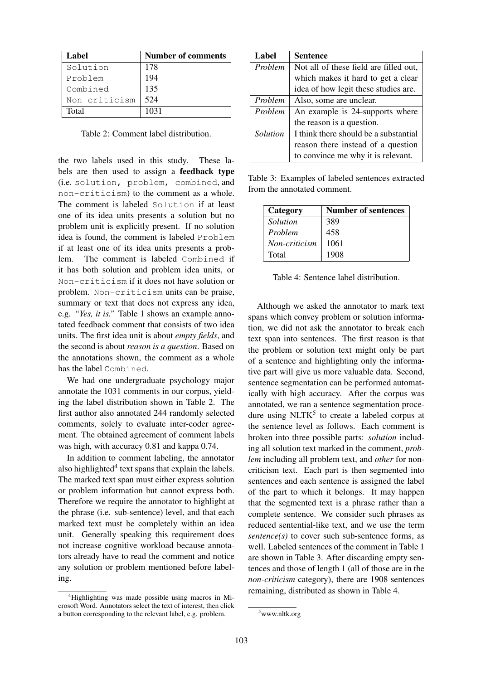| Label         | Number of comments |
|---------------|--------------------|
| Solution      | 178                |
| Problem       | 194                |
| Combined      | 135                |
| Non-criticism | 524                |
| Total         | 1031               |

Table 2: Comment label distribution.

the two labels used in this study. These labels are then used to assign a feedback type (i.e. solution, problem, combined, and non-criticism) to the comment as a whole. The comment is labeled Solution if at least one of its idea units presents a solution but no problem unit is explicitly present. If no solution idea is found, the comment is labeled Problem if at least one of its idea units presents a problem. The comment is labeled Combined if it has both solution and problem idea units, or Non-criticism if it does not have solution or problem. Non-criticism units can be praise, summary or text that does not express any idea, e.g. *"Yes, it is."* Table 1 shows an example annotated feedback comment that consists of two idea units. The first idea unit is about *empty fields*, and the second is about *reason is a question*. Based on the annotations shown, the comment as a whole has the label Combined.

We had one undergraduate psychology major annotate the 1031 comments in our corpus, yielding the label distribution shown in Table 2. The first author also annotated 244 randomly selected comments, solely to evaluate inter-coder agreement. The obtained agreement of comment labels was high, with accuracy 0.81 and kappa 0.74.

In addition to comment labeling, the annotator also highlighted $4$  text spans that explain the labels. The marked text span must either express solution or problem information but cannot express both. Therefore we require the annotator to highlight at the phrase (i.e. sub-sentence) level, and that each marked text must be completely within an idea unit. Generally speaking this requirement does not increase cognitive workload because annotators already have to read the comment and notice any solution or problem mentioned before labeling.

| Label    | <b>Sentence</b>                        |
|----------|----------------------------------------|
| Problem  | Not all of these field are filled out, |
|          | which makes it hard to get a clear     |
|          | idea of how legit these studies are.   |
| Problem  | Also, some are unclear.                |
| Problem  | An example is 24-supports where        |
|          | the reason is a question.              |
| Solution | I think there should be a substantial  |
|          | reason there instead of a question     |
|          | to convince me why it is relevant.     |

Table 3: Examples of labeled sentences extracted from the annotated comment.

| Category      | <b>Number of sentences</b> |
|---------------|----------------------------|
| Solution      | 389                        |
| Problem       | 458                        |
| Non-criticism | 1061                       |
| Total         | 1908                       |

Table 4: Sentence label distribution.

Although we asked the annotator to mark text spans which convey problem or solution information, we did not ask the annotator to break each text span into sentences. The first reason is that the problem or solution text might only be part of a sentence and highlighting only the informative part will give us more valuable data. Second, sentence segmentation can be performed automatically with high accuracy. After the corpus was annotated, we ran a sentence segmentation procedure using  $NLTK<sup>5</sup>$  to create a labeled corpus at the sentence level as follows. Each comment is broken into three possible parts: *solution* including all solution text marked in the comment, *problem* including all problem text, and *other* for noncriticism text. Each part is then segmented into sentences and each sentence is assigned the label of the part to which it belongs. It may happen that the segmented text is a phrase rather than a complete sentence. We consider such phrases as reduced sentential-like text, and we use the term *sentence(s)* to cover such sub-sentence forms, as well. Labeled sentences of the comment in Table 1 are shown in Table 3. After discarding empty sentences and those of length 1 (all of those are in the *non-criticism* category), there are 1908 sentences remaining, distributed as shown in Table 4.

<sup>4</sup>Highlighting was made possible using macros in Microsoft Word. Annotators select the text of interest, then click a button corresponding to the relevant label, e.g. problem.

<sup>5</sup>www.nltk.org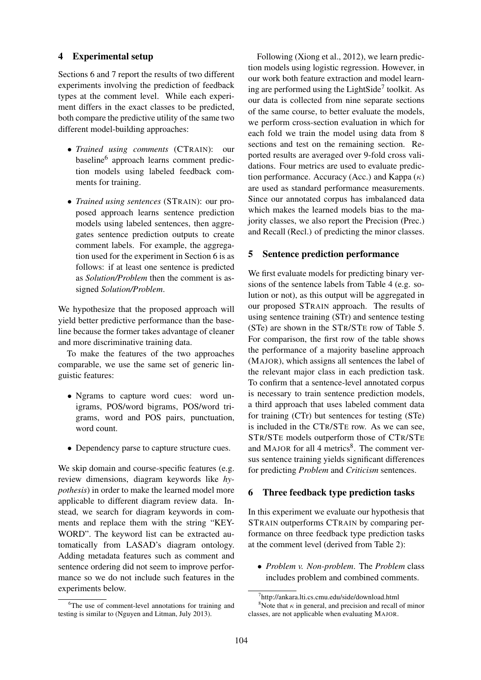### 4 Experimental setup

Sections 6 and 7 report the results of two different experiments involving the prediction of feedback types at the comment level. While each experiment differs in the exact classes to be predicted, both compare the predictive utility of the same two different model-building approaches:

- *Trained using comments* (CTRAIN): our baseline<sup>6</sup> approach learns comment prediction models using labeled feedback comments for training.
- *Trained using sentences* (STRAIN): our proposed approach learns sentence prediction models using labeled sentences, then aggregates sentence prediction outputs to create comment labels. For example, the aggregation used for the experiment in Section 6 is as follows: if at least one sentence is predicted as *Solution/Problem* then the comment is assigned *Solution/Problem*.

We hypothesize that the proposed approach will yield better predictive performance than the baseline because the former takes advantage of cleaner and more discriminative training data.

To make the features of the two approaches comparable, we use the same set of generic linguistic features:

- Ngrams to capture word cues: word unigrams, POS/word bigrams, POS/word trigrams, word and POS pairs, punctuation, word count.
- Dependency parse to capture structure cues.

We skip domain and course-specific features (e.g. review dimensions, diagram keywords like *hypothesis*) in order to make the learned model more applicable to different diagram review data. Instead, we search for diagram keywords in comments and replace them with the string "KEY-WORD". The keyword list can be extracted automatically from LASAD's diagram ontology. Adding metadata features such as comment and sentence ordering did not seem to improve performance so we do not include such features in the experiments below.

Following (Xiong et al., 2012), we learn prediction models using logistic regression. However, in our work both feature extraction and model learning are performed using the LightSide<sup>7</sup> toolkit. As our data is collected from nine separate sections of the same course, to better evaluate the models, we perform cross-section evaluation in which for each fold we train the model using data from 8 sections and test on the remaining section. Reported results are averaged over 9-fold cross validations. Four metrics are used to evaluate prediction performance. Accuracy (Acc.) and Kappa  $(\kappa)$ are used as standard performance measurements. Since our annotated corpus has imbalanced data which makes the learned models bias to the majority classes, we also report the Precision (Prec.) and Recall (Recl.) of predicting the minor classes.

# 5 Sentence prediction performance

We first evaluate models for predicting binary versions of the sentence labels from Table 4 (e.g. solution or not), as this output will be aggregated in our proposed STRAIN approach. The results of using sentence training (STr) and sentence testing (STe) are shown in the STR/STE row of Table 5. For comparison, the first row of the table shows the performance of a majority baseline approach (MAJOR), which assigns all sentences the label of the relevant major class in each prediction task. To confirm that a sentence-level annotated corpus is necessary to train sentence prediction models, a third approach that uses labeled comment data for training (CTr) but sentences for testing (STe) is included in the CTR/STE row. As we can see, STR/STE models outperform those of CTR/STE and MAJOR for all  $4$  metrics<sup>8</sup>. The comment versus sentence training yields significant differences for predicting *Problem* and *Criticism* sentences.

### 6 Three feedback type prediction tasks

In this experiment we evaluate our hypothesis that STRAIN outperforms CTRAIN by comparing performance on three feedback type prediction tasks at the comment level (derived from Table 2):

• *Problem v. Non-problem*. The *Problem* class includes problem and combined comments.

<sup>&</sup>lt;sup>6</sup>The use of comment-level annotations for training and testing is similar to (Nguyen and Litman, July 2013).

<sup>7</sup> http://ankara.lti.cs.cmu.edu/side/download.html <sup>8</sup>Note that  $\kappa$  in general, and precision and recall of minor classes, are not applicable when evaluating MAJOR.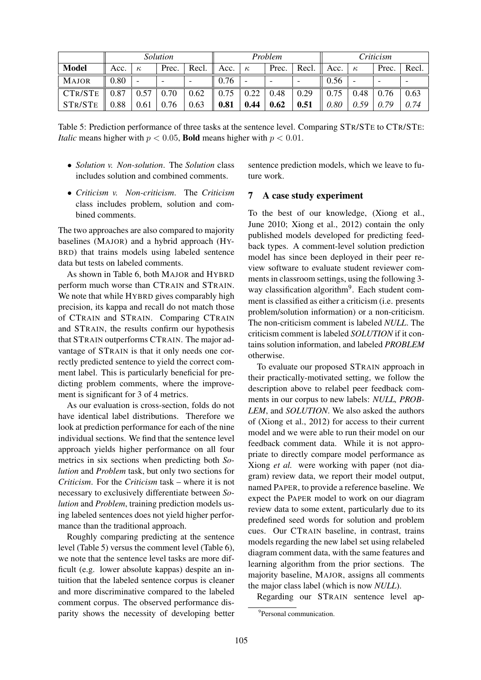|                          | <i>Solution</i> |                          |                          | Problem                  |                  |          |                          | Criticism                |      |          |       |                          |
|--------------------------|-----------------|--------------------------|--------------------------|--------------------------|------------------|----------|--------------------------|--------------------------|------|----------|-------|--------------------------|
| <b>Model</b>             | Acc.            | $\kappa$                 | Prec.                    | Recl. $\parallel$ Acc.   |                  | $\kappa$ | Prec.                    | Recl. $\parallel$        | Acc. | $\kappa$ | Prec. | Recl.                    |
| <b>MAJOR</b>             | 0.80            | $\overline{\phantom{0}}$ | $\overline{\phantom{0}}$ | $\overline{\phantom{0}}$ | 0.76             |          | $\overline{\phantom{0}}$ | $\overline{\phantom{a}}$ | 0.56 |          |       | $\overline{\phantom{0}}$ |
| CTR/STE $\parallel$ 0.87 |                 | 0.57                     | 0.70                     | 0.62                     | $\parallel$ 0.75 | 0.22     | 0.48                     | 0.29                     | 0.75 | 0.48     | 0.76  | 0.63                     |
| STR/STE                  | 0.88            | 0.61                     | 0.76                     | 0.63                     | 0.81             | 0.44     | 0.62                     | 0.51                     | 0.80 | 0.59     | 0.79  | 0.74                     |

Table 5: Prediction performance of three tasks at the sentence level. Comparing STR/STE to CTR/STE: *Italic* means higher with  $p < 0.05$ , **Bold** means higher with  $p < 0.01$ .

- *Solution v. Non-solution*. The *Solution* class includes solution and combined comments.
- *Criticism v. Non-criticism*. The *Criticism* class includes problem, solution and combined comments.

The two approaches are also compared to majority baselines (MAJOR) and a hybrid approach (HY-BRD) that trains models using labeled sentence data but tests on labeled comments.

As shown in Table 6, both MAJOR and HYBRD perform much worse than CTRAIN and STRAIN. We note that while HYBRD gives comparably high precision, its kappa and recall do not match those of CTRAIN and STRAIN. Comparing CTRAIN and STRAIN, the results confirm our hypothesis that STRAIN outperforms CTRAIN. The major advantage of STRAIN is that it only needs one correctly predicted sentence to yield the correct comment label. This is particularly beneficial for predicting problem comments, where the improvement is significant for 3 of 4 metrics.

As our evaluation is cross-section, folds do not have identical label distributions. Therefore we look at prediction performance for each of the nine individual sections. We find that the sentence level approach yields higher performance on all four metrics in six sections when predicting both *Solution* and *Problem* task, but only two sections for *Criticism*. For the *Criticism* task – where it is not necessary to exclusively differentiate between *Solution* and *Problem*, training prediction models using labeled sentences does not yield higher performance than the traditional approach.

Roughly comparing predicting at the sentence level (Table 5) versus the comment level (Table 6), we note that the sentence level tasks are more difficult (e.g. lower absolute kappas) despite an intuition that the labeled sentence corpus is cleaner and more discriminative compared to the labeled comment corpus. The observed performance disparity shows the necessity of developing better sentence prediction models, which we leave to future work.

#### 7 A case study experiment

To the best of our knowledge, (Xiong et al., June 2010; Xiong et al., 2012) contain the only published models developed for predicting feedback types. A comment-level solution prediction model has since been deployed in their peer review software to evaluate student reviewer comments in classroom settings, using the following 3 way classification algorithm<sup>9</sup>. Each student comment is classified as either a criticism (i.e. presents problem/solution information) or a non-criticism. The non-criticism comment is labeled *NULL*. The criticism comment is labeled *SOLUTION* if it contains solution information, and labeled *PROBLEM* otherwise.

To evaluate our proposed STRAIN approach in their practically-motivated setting, we follow the description above to relabel peer feedback comments in our corpus to new labels: *NULL, PROB-LEM*, and *SOLUTION*. We also asked the authors of (Xiong et al., 2012) for access to their current model and we were able to run their model on our feedback comment data. While it is not appropriate to directly compare model performance as Xiong *et al.* were working with paper (not diagram) review data, we report their model output, named PAPER, to provide a reference baseline. We expect the PAPER model to work on our diagram review data to some extent, particularly due to its predefined seed words for solution and problem cues. Our CTRAIN baseline, in contrast, trains models regarding the new label set using relabeled diagram comment data, with the same features and learning algorithm from the prior sections. The majority baseline, MAJOR, assigns all comments the major class label (which is now *NULL*).

Regarding our STRAIN sentence level ap-

<sup>&</sup>lt;sup>9</sup>Personal communication.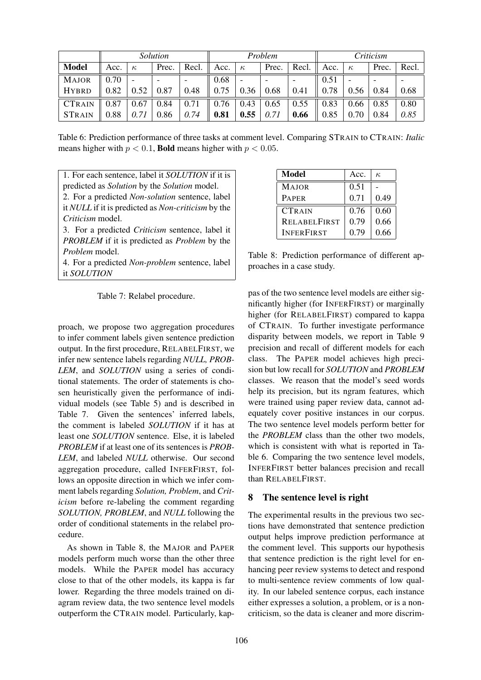|               | Solution |                |                          | Problem |      |                          |                          | Criticism |      |          |                              |       |
|---------------|----------|----------------|--------------------------|---------|------|--------------------------|--------------------------|-----------|------|----------|------------------------------|-------|
| <b>Model</b>  | Acc.     | $\kappa$       | Prec.                    | Recl.   | Acc. | $\kappa$                 | Prec.                    | Recl.     | Acc. | $\kappa$ | Prec.                        | Recl. |
| <b>MAJOR</b>  | 0.70     | $\overline{a}$ | $\overline{\phantom{a}}$ |         | 0.68 | $\overline{\phantom{0}}$ | $\overline{\phantom{a}}$ |           | 0.51 |          | $\qquad \qquad \blacksquare$ |       |
| <b>HYBRD</b>  | 0.82     | 0.52           | 0.87                     | 0.48    | 0.75 | 0.36                     | 0.68                     | 0.41      | 0.78 | 0.56     | 0.84                         | 0.68  |
| <b>CTRAIN</b> | 0.87     | 0.67           | 0.84                     | 0.71    | 0.76 | 0.43                     | 0.65                     | 0.55      | 0.83 | 0.66     | 0.85                         | 0.80  |
| <b>STRAIN</b> | 0.88     | 0.71           | 0.86                     | 0.74    | 0.81 | 0.55                     | 0.71                     | 0.66      | 0.85 | 0.70     | 0.84                         | 0.85  |

Table 6: Prediction performance of three tasks at comment level. Comparing STRAIN to CTRAIN: *Italic* means higher with  $p < 0.1$ , **Bold** means higher with  $p < 0.05$ .

1. For each sentence, label it *SOLUTION* if it is predicted as *Solution* by the *Solution* model. 2. For a predicted *Non-solution* sentence, label it *NULL* if it is predicted as *Non-criticism* by the *Criticism* model. 3. For a predicted *Criticism* sentence, label it *PROBLEM* if it is predicted as *Problem* by the *Problem* model.

4. For a predicted *Non-problem* sentence, label it *SOLUTION*

Table 7: Relabel procedure.

proach, we propose two aggregation procedures to infer comment labels given sentence prediction output. In the first procedure, RELABELFIRST, we infer new sentence labels regarding *NULL, PROB-LEM*, and *SOLUTION* using a series of conditional statements. The order of statements is chosen heuristically given the performance of individual models (see Table 5) and is described in Table 7. Given the sentences' inferred labels, the comment is labeled *SOLUTION* if it has at least one *SOLUTION* sentence. Else, it is labeled *PROBLEM* if at least one of its sentences is *PROB-LEM*, and labeled *NULL* otherwise. Our second aggregation procedure, called INFERFIRST, follows an opposite direction in which we infer comment labels regarding *Solution, Problem*, and *Criticism* before re-labeling the comment regarding *SOLUTION, PROBLEM*, and *NULL* following the order of conditional statements in the relabel procedure.

As shown in Table 8, the MAJOR and PAPER models perform much worse than the other three models. While the PAPER model has accuracy close to that of the other models, its kappa is far lower. Regarding the three models trained on diagram review data, the two sentence level models outperform the CTRAIN model. Particularly, kap-

| Model               | Acc. | к,   |
|---------------------|------|------|
| <b>MAJOR</b>        | 0.51 |      |
| <b>PAPER</b>        | 0.71 | 0.49 |
| <b>CTRAIN</b>       | 0.76 | 0.60 |
| <b>RELABELFIRST</b> | 0.79 | 0.66 |
| <b>INFERFIRST</b>   | 0.79 | 0.66 |

Table 8: Prediction performance of different approaches in a case study.

pas of the two sentence level models are either significantly higher (for INFERFIRST) or marginally higher (for RELABELFIRST) compared to kappa of CTRAIN. To further investigate performance disparity between models, we report in Table 9 precision and recall of different models for each class. The PAPER model achieves high precision but low recall for *SOLUTION* and *PROBLEM* classes. We reason that the model's seed words help its precision, but its ngram features, which were trained using paper review data, cannot adequately cover positive instances in our corpus. The two sentence level models perform better for the *PROBLEM* class than the other two models, which is consistent with what is reported in Table 6. Comparing the two sentence level models, INFERFIRST better balances precision and recall than RELABELFIRST.

# 8 The sentence level is right

The experimental results in the previous two sections have demonstrated that sentence prediction output helps improve prediction performance at the comment level. This supports our hypothesis that sentence prediction is the right level for enhancing peer review systems to detect and respond to multi-sentence review comments of low quality. In our labeled sentence corpus, each instance either expresses a solution, a problem, or is a noncriticism, so the data is cleaner and more discrim-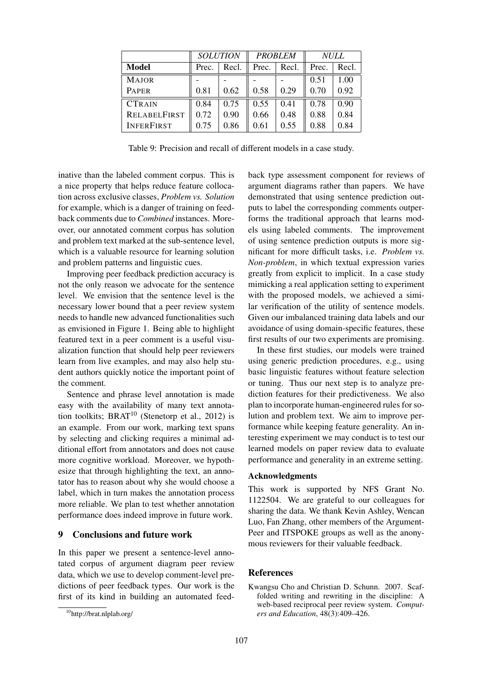|                     |       | <b>SOLUTION</b> | <b>PROBLEM</b> |       | <b>NULL</b> |       |  |
|---------------------|-------|-----------------|----------------|-------|-------------|-------|--|
| Model               | Prec. | Recl.<br>Prec.  |                | Recl. | Prec.       | Recl. |  |
| <b>MAJOR</b>        |       |                 |                |       | 0.51        | 1.00  |  |
| <b>PAPER</b>        | 0.81  | 0.62            | 0.58           | 0.29  | 0.70        | 0.92  |  |
| <b>CTRAIN</b>       | 0.84  | 0.75            | 0.55           | 0.41  | 0.78        | 0.90  |  |
| <b>RELABELFIRST</b> | 0.72  | 0.90            | 0.66           | 0.48  | 0.88        | 0.84  |  |
| <b>INFERFIRST</b>   | 0.75  | 0.86            | 0.61           | 0.55  | 0.88        | 0.84  |  |

Table 9: Precision and recall of different models in a case study.

inative than the labeled comment corpus. This is a nice property that helps reduce feature collocation across exclusive classes, *Problem vs. Solution* for example, which is a danger of training on feedback comments due to *Combined* instances. Moreover, our annotated comment corpus has solution and problem text marked at the sub-sentence level, which is a valuable resource for learning solution and problem patterns and linguistic cues.

Improving peer feedback prediction accuracy is not the only reason we advocate for the sentence level. We envision that the sentence level is the necessary lower bound that a peer review system needs to handle new advanced functionalities such as envisioned in Figure 1. Being able to highlight featured text in a peer comment is a useful visualization function that should help peer reviewers learn from live examples, and may also help student authors quickly notice the important point of the comment.

Sentence and phrase level annotation is made easy with the availability of many text annotation toolkits;  $B RAT^{10}$  (Stenetorp et al., 2012) is an example. From our work, marking text spans by selecting and clicking requires a minimal additional effort from annotators and does not cause more cognitive workload. Moreover, we hypothesize that through highlighting the text, an annotator has to reason about why she would choose a label, which in turn makes the annotation process more reliable. We plan to test whether annotation performance does indeed improve in future work.

### 9 Conclusions and future work

In this paper we present a sentence-level annotated corpus of argument diagram peer review data, which we use to develop comment-level predictions of peer feedback types. Our work is the first of its kind in building an automated feedback type assessment component for reviews of argument diagrams rather than papers. We have demonstrated that using sentence prediction outputs to label the corresponding comments outperforms the traditional approach that learns models using labeled comments. The improvement of using sentence prediction outputs is more significant for more difficult tasks, i.e. *Problem vs. Non-problem*, in which textual expression varies greatly from explicit to implicit. In a case study mimicking a real application setting to experiment with the proposed models, we achieved a similar verification of the utility of sentence models. Given our imbalanced training data labels and our avoidance of using domain-specific features, these first results of our two experiments are promising.

In these first studies, our models were trained using generic prediction procedures, e.g., using basic linguistic features without feature selection or tuning. Thus our next step is to analyze prediction features for their predictiveness. We also plan to incorporate human-engineered rules for solution and problem text. We aim to improve performance while keeping feature generality. An interesting experiment we may conduct is to test our learned models on paper review data to evaluate performance and generality in an extreme setting.

#### Acknowledgments

This work is supported by NFS Grant No. 1122504. We are grateful to our colleagues for sharing the data. We thank Kevin Ashley, Wencan Luo, Fan Zhang, other members of the Argument-Peer and ITSPOKE groups as well as the anonymous reviewers for their valuable feedback.

### References

Kwangsu Cho and Christian D. Schunn. 2007. Scaffolded writing and rewriting in the discipline: A web-based reciprocal peer review system. *Computers and Education*, 48(3):409–426.

<sup>10</sup>http://brat.nlplab.org/